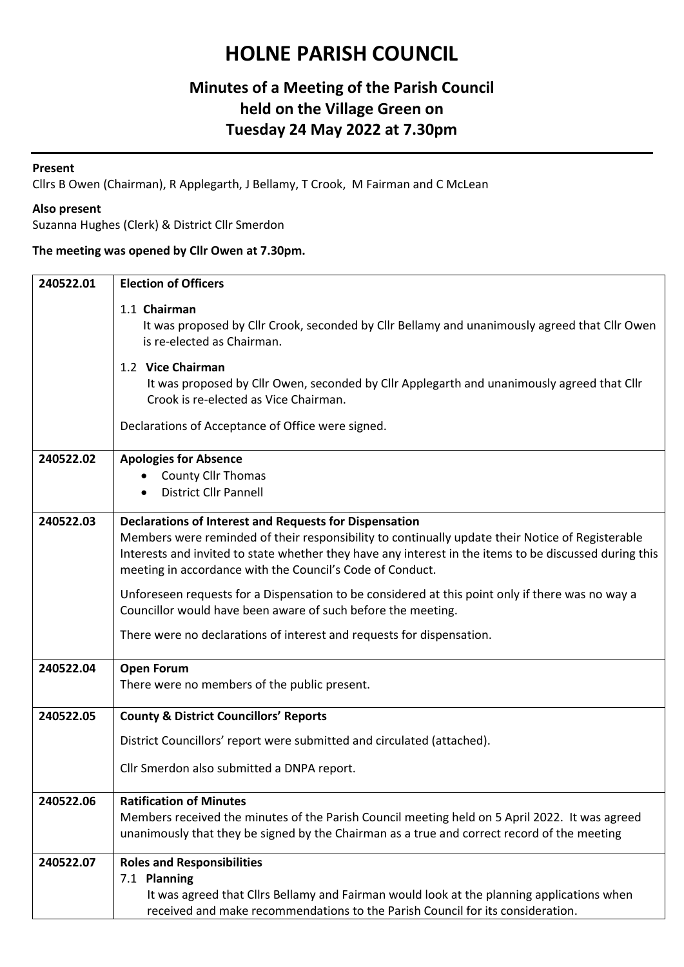# **HOLNE PARISH COUNCIL**

### **Minutes of a Meeting of the Parish Council held on the Village Green on Tuesday 24 May 2022 at 7.30pm**

#### **Present**

Cllrs B Owen (Chairman), R Applegarth, J Bellamy, T Crook, M Fairman and C McLean

#### **Also present**

Suzanna Hughes (Clerk) & District Cllr Smerdon

### **The meeting was opened by Cllr Owen at 7.30pm.**

| 240522.01 | <b>Election of Officers</b>                                                                                                                                                                                                                                                                                                              |
|-----------|------------------------------------------------------------------------------------------------------------------------------------------------------------------------------------------------------------------------------------------------------------------------------------------------------------------------------------------|
|           | 1.1 Chairman<br>It was proposed by Cllr Crook, seconded by Cllr Bellamy and unanimously agreed that Cllr Owen<br>is re-elected as Chairman.                                                                                                                                                                                              |
|           | 1.2 Vice Chairman<br>It was proposed by Cllr Owen, seconded by Cllr Applegarth and unanimously agreed that Cllr<br>Crook is re-elected as Vice Chairman.                                                                                                                                                                                 |
|           | Declarations of Acceptance of Office were signed.                                                                                                                                                                                                                                                                                        |
| 240522.02 | <b>Apologies for Absence</b><br><b>County Cllr Thomas</b><br><b>District Cllr Pannell</b>                                                                                                                                                                                                                                                |
| 240522.03 | <b>Declarations of Interest and Requests for Dispensation</b><br>Members were reminded of their responsibility to continually update their Notice of Registerable<br>Interests and invited to state whether they have any interest in the items to be discussed during this<br>meeting in accordance with the Council's Code of Conduct. |
|           | Unforeseen requests for a Dispensation to be considered at this point only if there was no way a<br>Councillor would have been aware of such before the meeting.                                                                                                                                                                         |
|           | There were no declarations of interest and requests for dispensation.                                                                                                                                                                                                                                                                    |
| 240522.04 | <b>Open Forum</b><br>There were no members of the public present.                                                                                                                                                                                                                                                                        |
| 240522.05 | <b>County &amp; District Councillors' Reports</b>                                                                                                                                                                                                                                                                                        |
|           | District Councillors' report were submitted and circulated (attached).                                                                                                                                                                                                                                                                   |
|           | Cllr Smerdon also submitted a DNPA report.                                                                                                                                                                                                                                                                                               |
| 240522.06 | <b>Ratification of Minutes</b>                                                                                                                                                                                                                                                                                                           |
|           | Members received the minutes of the Parish Council meeting held on 5 April 2022. It was agreed<br>unanimously that they be signed by the Chairman as a true and correct record of the meeting                                                                                                                                            |
| 240522.07 | <b>Roles and Responsibilities</b>                                                                                                                                                                                                                                                                                                        |
|           | 7.1 Planning<br>It was agreed that Cllrs Bellamy and Fairman would look at the planning applications when<br>received and make recommendations to the Parish Council for its consideration.                                                                                                                                              |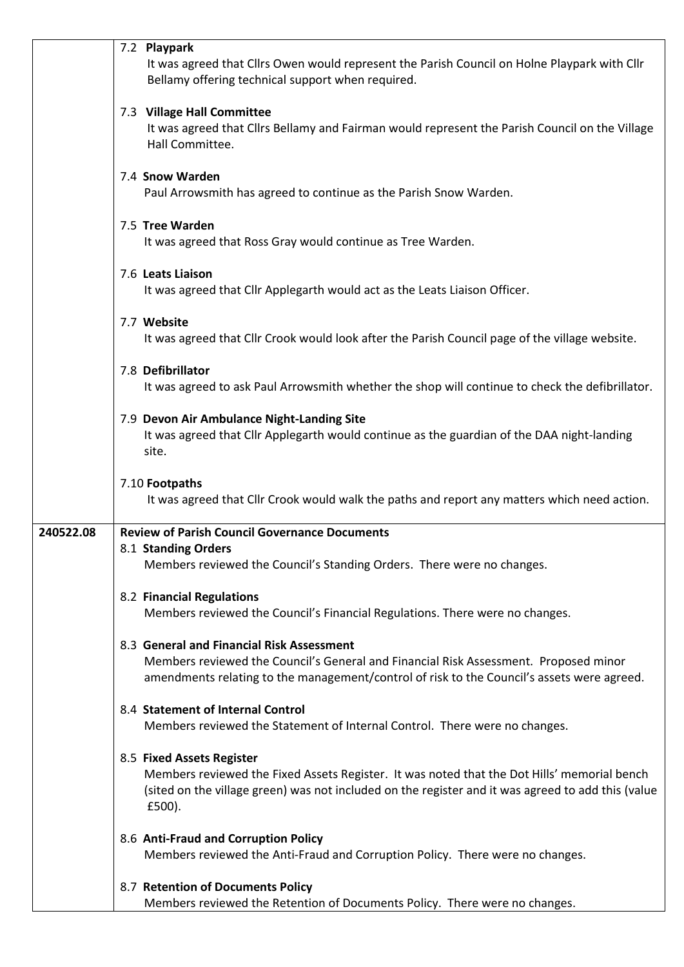|           | 7.2 Playpark<br>It was agreed that Cllrs Owen would represent the Parish Council on Holne Playpark with Cllr<br>Bellamy offering technical support when required.                                                                        |
|-----------|------------------------------------------------------------------------------------------------------------------------------------------------------------------------------------------------------------------------------------------|
|           | 7.3 Village Hall Committee<br>It was agreed that Cllrs Bellamy and Fairman would represent the Parish Council on the Village<br>Hall Committee.                                                                                          |
|           | 7.4 Snow Warden<br>Paul Arrowsmith has agreed to continue as the Parish Snow Warden.                                                                                                                                                     |
|           | 7.5 Tree Warden<br>It was agreed that Ross Gray would continue as Tree Warden.                                                                                                                                                           |
|           | 7.6 Leats Liaison<br>It was agreed that Cllr Applegarth would act as the Leats Liaison Officer.                                                                                                                                          |
|           | 7.7 Website<br>It was agreed that Cllr Crook would look after the Parish Council page of the village website.                                                                                                                            |
|           | 7.8 Defibrillator<br>It was agreed to ask Paul Arrowsmith whether the shop will continue to check the defibrillator.                                                                                                                     |
|           | 7.9 Devon Air Ambulance Night-Landing Site<br>It was agreed that Cllr Applegarth would continue as the guardian of the DAA night-landing<br>site.                                                                                        |
|           | 7.10 Footpaths<br>It was agreed that CIIr Crook would walk the paths and report any matters which need action.                                                                                                                           |
| 240522.08 | <b>Review of Parish Council Governance Documents</b>                                                                                                                                                                                     |
|           | 8.1 Standing Orders<br>Members reviewed the Council's Standing Orders. There were no changes.                                                                                                                                            |
|           | 8.2 Financial Regulations<br>Members reviewed the Council's Financial Regulations. There were no changes.                                                                                                                                |
|           | 8.3 General and Financial Risk Assessment<br>Members reviewed the Council's General and Financial Risk Assessment. Proposed minor<br>amendments relating to the management/control of risk to the Council's assets were agreed.          |
|           | 8.4 Statement of Internal Control<br>Members reviewed the Statement of Internal Control. There were no changes.                                                                                                                          |
|           | 8.5 Fixed Assets Register<br>Members reviewed the Fixed Assets Register. It was noted that the Dot Hills' memorial bench<br>(sited on the village green) was not included on the register and it was agreed to add this (value<br>£500). |
|           | 8.6 Anti-Fraud and Corruption Policy<br>Members reviewed the Anti-Fraud and Corruption Policy. There were no changes.                                                                                                                    |
|           | 8.7 Retention of Documents Policy<br>Members reviewed the Retention of Documents Policy. There were no changes.                                                                                                                          |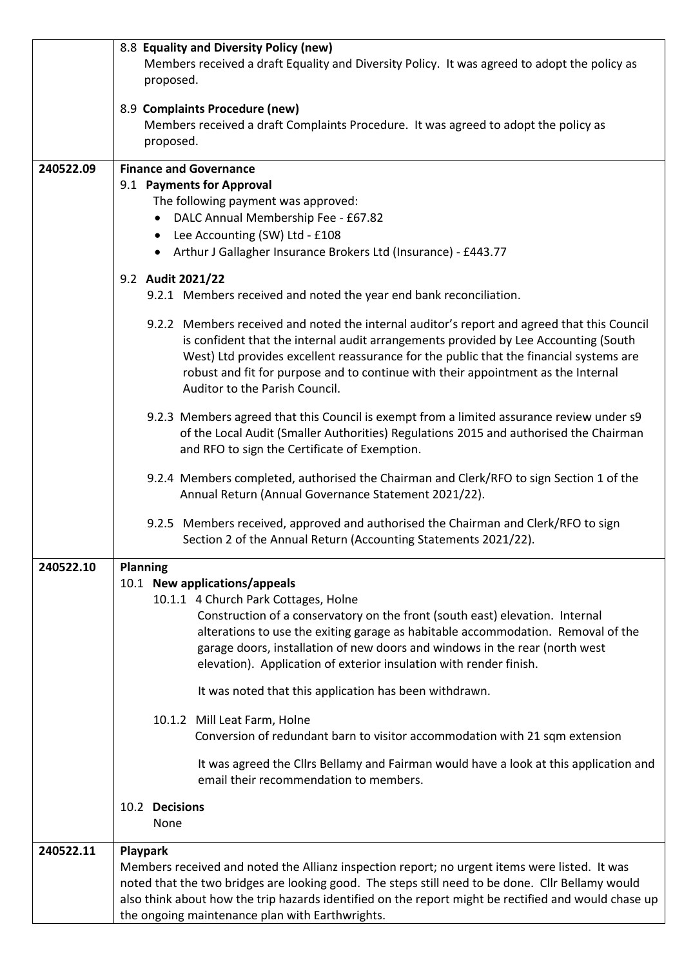|           | 8.8 Equality and Diversity Policy (new)<br>Members received a draft Equality and Diversity Policy. It was agreed to adopt the policy as<br>proposed.                                                                                                                                                                                                                                                                                                                                                                                                                                                                                                                                                                                            |
|-----------|-------------------------------------------------------------------------------------------------------------------------------------------------------------------------------------------------------------------------------------------------------------------------------------------------------------------------------------------------------------------------------------------------------------------------------------------------------------------------------------------------------------------------------------------------------------------------------------------------------------------------------------------------------------------------------------------------------------------------------------------------|
|           | 8.9 Complaints Procedure (new)<br>Members received a draft Complaints Procedure. It was agreed to adopt the policy as<br>proposed.                                                                                                                                                                                                                                                                                                                                                                                                                                                                                                                                                                                                              |
| 240522.09 | <b>Finance and Governance</b><br>9.1 Payments for Approval<br>The following payment was approved:<br>DALC Annual Membership Fee - £67.82<br>Lee Accounting (SW) Ltd - £108<br>Arthur J Gallagher Insurance Brokers Ltd (Insurance) - £443.77<br>$\bullet$                                                                                                                                                                                                                                                                                                                                                                                                                                                                                       |
|           | 9.2 Audit 2021/22<br>9.2.1 Members received and noted the year end bank reconciliation.                                                                                                                                                                                                                                                                                                                                                                                                                                                                                                                                                                                                                                                         |
|           | 9.2.2 Members received and noted the internal auditor's report and agreed that this Council<br>is confident that the internal audit arrangements provided by Lee Accounting (South<br>West) Ltd provides excellent reassurance for the public that the financial systems are<br>robust and fit for purpose and to continue with their appointment as the Internal<br>Auditor to the Parish Council.                                                                                                                                                                                                                                                                                                                                             |
|           | 9.2.3 Members agreed that this Council is exempt from a limited assurance review under s9<br>of the Local Audit (Smaller Authorities) Regulations 2015 and authorised the Chairman<br>and RFO to sign the Certificate of Exemption.                                                                                                                                                                                                                                                                                                                                                                                                                                                                                                             |
|           | 9.2.4 Members completed, authorised the Chairman and Clerk/RFO to sign Section 1 of the<br>Annual Return (Annual Governance Statement 2021/22).                                                                                                                                                                                                                                                                                                                                                                                                                                                                                                                                                                                                 |
|           | 9.2.5 Members received, approved and authorised the Chairman and Clerk/RFO to sign<br>Section 2 of the Annual Return (Accounting Statements 2021/22).                                                                                                                                                                                                                                                                                                                                                                                                                                                                                                                                                                                           |
| 240522.10 | <b>Planning</b><br>10.1 New applications/appeals<br>10.1.1 4 Church Park Cottages, Holne<br>Construction of a conservatory on the front (south east) elevation. Internal<br>alterations to use the exiting garage as habitable accommodation. Removal of the<br>garage doors, installation of new doors and windows in the rear (north west<br>elevation). Application of exterior insulation with render finish.<br>It was noted that this application has been withdrawn.<br>10.1.2 Mill Leat Farm, Holne<br>Conversion of redundant barn to visitor accommodation with 21 sqm extension<br>It was agreed the Cllrs Bellamy and Fairman would have a look at this application and<br>email their recommendation to members.<br>10.2 Decisions |
|           | None                                                                                                                                                                                                                                                                                                                                                                                                                                                                                                                                                                                                                                                                                                                                            |
| 240522.11 | Playpark<br>Members received and noted the Allianz inspection report; no urgent items were listed. It was<br>noted that the two bridges are looking good. The steps still need to be done. Cllr Bellamy would<br>also think about how the trip hazards identified on the report might be rectified and would chase up<br>the ongoing maintenance plan with Earthwrights.                                                                                                                                                                                                                                                                                                                                                                        |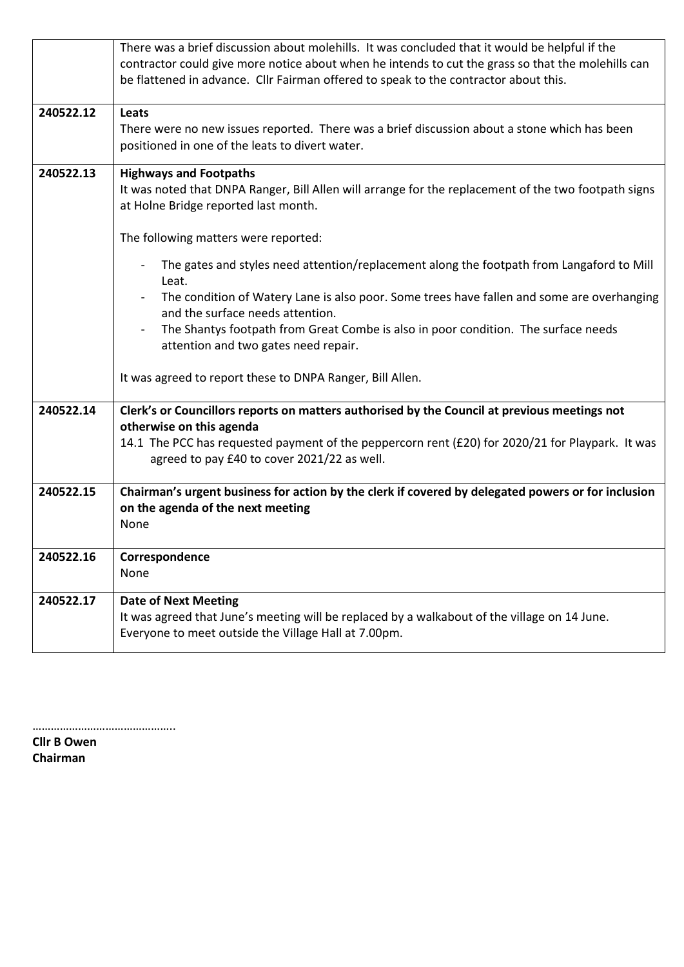|           | There was a brief discussion about molehills. It was concluded that it would be helpful if the       |
|-----------|------------------------------------------------------------------------------------------------------|
|           | contractor could give more notice about when he intends to cut the grass so that the molehills can   |
|           | be flattened in advance. Cllr Fairman offered to speak to the contractor about this.                 |
|           |                                                                                                      |
| 240522.12 | Leats                                                                                                |
|           | There were no new issues reported. There was a brief discussion about a stone which has been         |
|           | positioned in one of the leats to divert water.                                                      |
|           |                                                                                                      |
| 240522.13 | <b>Highways and Footpaths</b>                                                                        |
|           | It was noted that DNPA Ranger, Bill Allen will arrange for the replacement of the two footpath signs |
|           | at Holne Bridge reported last month.                                                                 |
|           |                                                                                                      |
|           | The following matters were reported:                                                                 |
|           |                                                                                                      |
|           | The gates and styles need attention/replacement along the footpath from Langaford to Mill            |
|           | Leat.                                                                                                |
|           | The condition of Watery Lane is also poor. Some trees have fallen and some are overhanging           |
|           | and the surface needs attention.                                                                     |
|           | The Shantys footpath from Great Combe is also in poor condition. The surface needs                   |
|           | attention and two gates need repair.                                                                 |
|           |                                                                                                      |
|           | It was agreed to report these to DNPA Ranger, Bill Allen.                                            |
|           |                                                                                                      |
| 240522.14 | Clerk's or Councillors reports on matters authorised by the Council at previous meetings not         |
|           | otherwise on this agenda                                                                             |
|           | 14.1 The PCC has requested payment of the peppercorn rent (£20) for 2020/21 for Playpark. It was     |
|           | agreed to pay £40 to cover 2021/22 as well.                                                          |
|           |                                                                                                      |
| 240522.15 | Chairman's urgent business for action by the clerk if covered by delegated powers or for inclusion   |
|           | on the agenda of the next meeting                                                                    |
|           | None                                                                                                 |
|           |                                                                                                      |
|           |                                                                                                      |
| 240522.16 | Correspondence                                                                                       |
|           | None                                                                                                 |
| 240522.17 | <b>Date of Next Meeting</b>                                                                          |
|           | It was agreed that June's meeting will be replaced by a walkabout of the village on 14 June.         |
|           | Everyone to meet outside the Village Hall at 7.00pm.                                                 |
|           |                                                                                                      |

………………………………………..

**Cllr B Owen Chairman**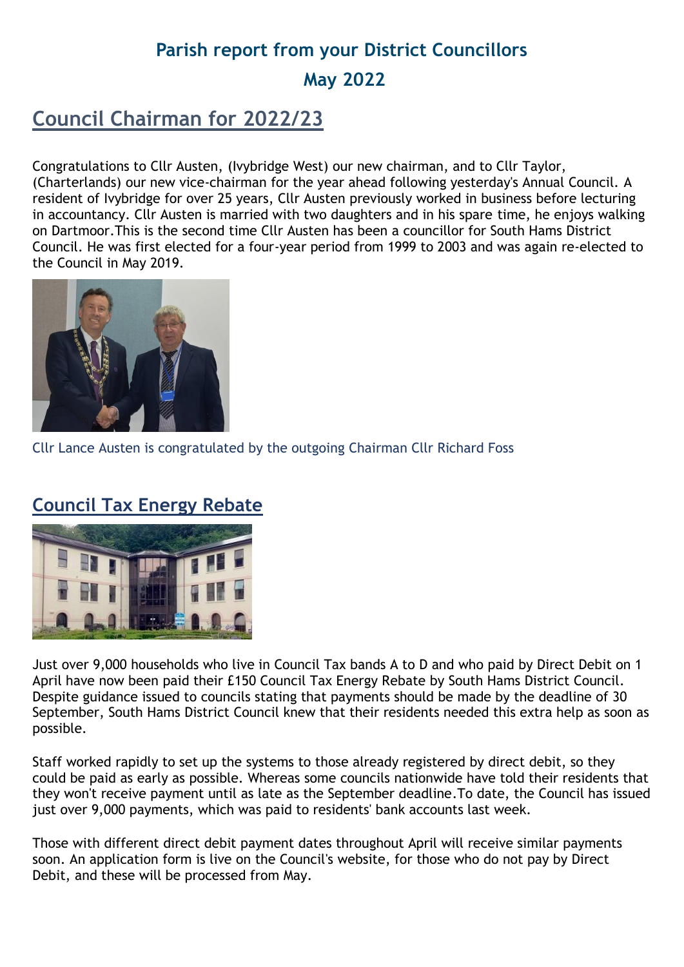# **Parish report from your District Councillors May 2022**

## **Council Chairman for 2022/23**

Congratulations to Cllr Austen, (Ivybridge West) our new chairman, and to Cllr Taylor, (Charterlands) our new vice-chairman for the year ahead following yesterday's Annual Council. A resident of Ivybridge for over 25 years, Cllr Austen previously worked in business before lecturing in accountancy. Cllr Austen is married with two daughters and in his spare time, he enjoys walking on Dartmoor.This is the second time Cllr Austen has been a councillor for South Hams District Council. He was first elected for a four-year period from 1999 to 2003 and was again re-elected to the Council in May 2019.



Cllr Lance Austen is congratulated by the outgoing Chairman Cllr Richard Foss

### **Council Tax Energy Rebate**



Just over 9,000 households who live in Council Tax bands A to D and who paid by Direct Debit on 1 April have now been paid their £150 Council Tax Energy Rebate by South Hams District Council. Despite guidance issued to councils stating that payments should be made by the deadline of 30 September, South Hams District Council knew that their residents needed this extra help as soon as possible.

Staff worked rapidly to set up the systems to those already registered by direct debit, so they could be paid as early as possible. Whereas some councils nationwide have told their residents that they won't receive payment until as late as the September deadline.To date, the Council has issued just over 9,000 payments, which was paid to residents' bank accounts last week.

Those with different direct debit payment dates throughout April will receive similar payments soon. An application form is live on the Council's website, for those who do not pay by Direct Debit, and these will be processed from May.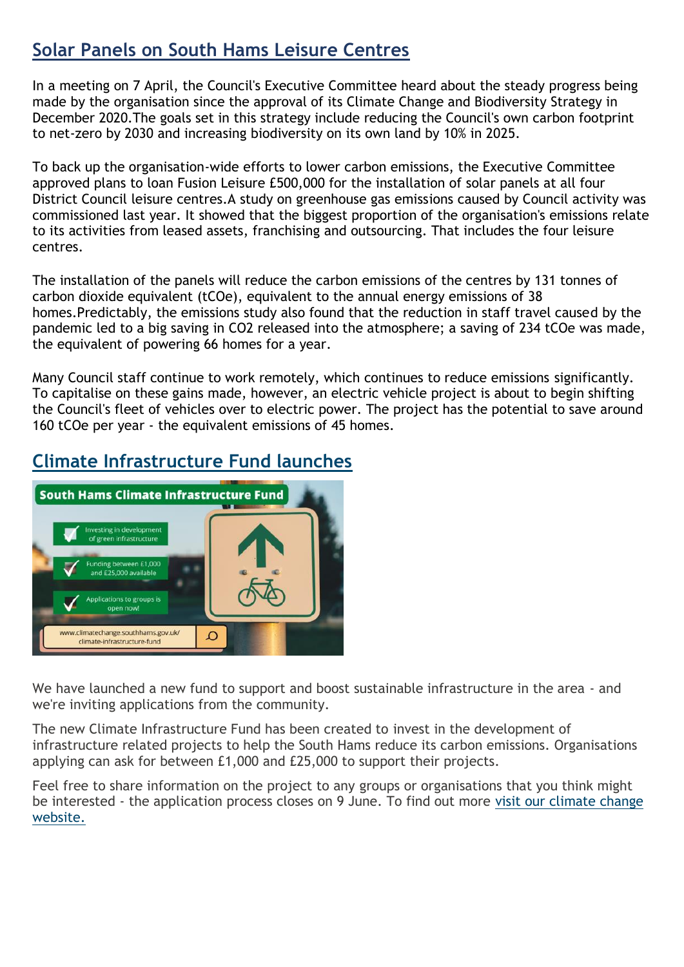### **Solar Panels on South Hams Leisure Centres**

In a meeting on 7 April, the Council's Executive Committee heard about the steady progress being made by the organisation since the approval of its Climate Change and Biodiversity Strategy in December 2020.The goals set in this strategy include reducing the Council's own carbon footprint to net-zero by 2030 and increasing biodiversity on its own land by 10% in 2025.

To back up the organisation-wide efforts to lower carbon emissions, the Executive Committee approved plans to loan Fusion Leisure £500,000 for the installation of solar panels at all four District Council leisure centres.A study on greenhouse gas emissions caused by Council activity was commissioned last year. It showed that the biggest proportion of the organisation's emissions relate to its activities from leased assets, franchising and outsourcing. That includes the four leisure centres.

The installation of the panels will reduce the carbon emissions of the centres by 131 tonnes of carbon dioxide equivalent (tCOe), equivalent to the annual energy emissions of 38 homes.Predictably, the emissions study also found that the reduction in staff travel caused by the pandemic led to a big saving in CO2 released into the atmosphere; a saving of 234 tCOe was made, the equivalent of powering 66 homes for a year.

Many Council staff continue to work remotely, which continues to reduce emissions significantly. To capitalise on these gains made, however, an electric vehicle project is about to begin shifting the Council's fleet of vehicles over to electric power. The project has the potential to save around 160 tCOe per year - the equivalent emissions of 45 homes.

### **Climate Infrastructure Fund launches**



We have launched a new fund to support and boost sustainable infrastructure in the area - and we're inviting applications from the community.

The new Climate Infrastructure Fund has been created to invest in the development of infrastructure related projects to help the South Hams reduce its carbon emissions. Organisations applying can ask for between £1,000 and £25,000 to support their projects.

Feel free to share information on the project to any groups or organisations that you think might be interested - the application process closes on 9 June. To find out more [visit our climate change](https://lnks.gd/l/eyJhbGciOiJIUzI1NiJ9.eyJidWxsZXRpbl9saW5rX2lkIjoxMDEsInVyaSI6ImJwMjpjbGljayIsImJ1bGxldGluX2lkIjoiMjAyMjA1MTMuNTc4NTA5OTEiLCJ1cmwiOiJodHRwczovL3d3dy5jbGltYXRlY2hhbmdlLnNvdXRoaGFtcy5nb3YudWsvY2xpbWF0ZS1pbmZyYXN0cnVjdHVyZS1mdW5kIn0.hW08Heb7VfQWr2GI9KOEeVJsPKofm0jZFnaAlzaI7s4/s/1119924190/br/131272772214-l)  [website.](https://lnks.gd/l/eyJhbGciOiJIUzI1NiJ9.eyJidWxsZXRpbl9saW5rX2lkIjoxMDEsInVyaSI6ImJwMjpjbGljayIsImJ1bGxldGluX2lkIjoiMjAyMjA1MTMuNTc4NTA5OTEiLCJ1cmwiOiJodHRwczovL3d3dy5jbGltYXRlY2hhbmdlLnNvdXRoaGFtcy5nb3YudWsvY2xpbWF0ZS1pbmZyYXN0cnVjdHVyZS1mdW5kIn0.hW08Heb7VfQWr2GI9KOEeVJsPKofm0jZFnaAlzaI7s4/s/1119924190/br/131272772214-l)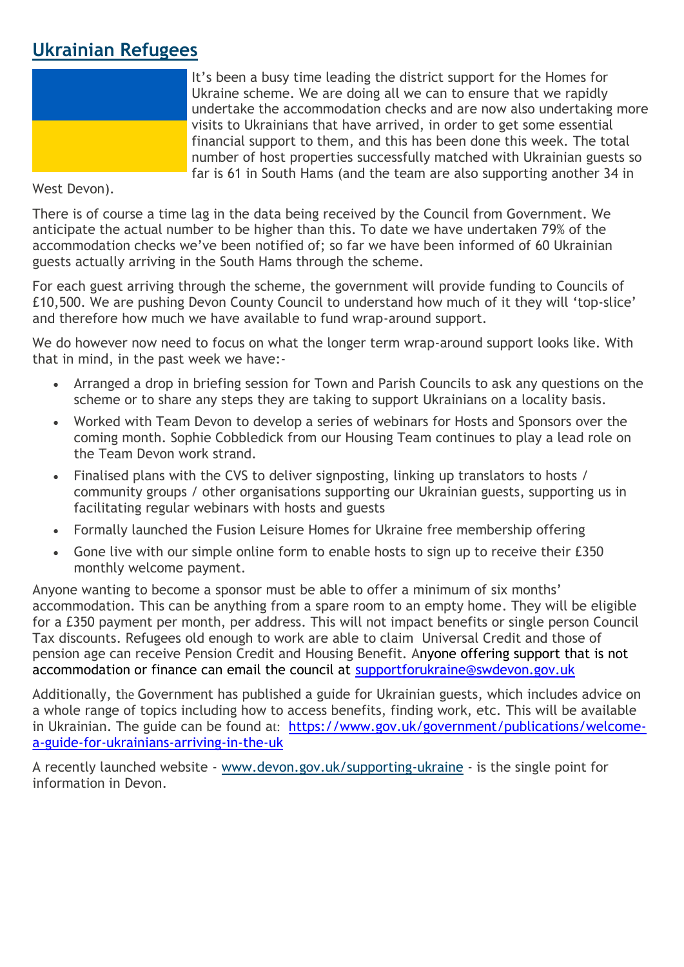### **Ukrainian Refugees**



It's been a busy time leading the district support for the Homes for Ukraine scheme. We are doing all we can to ensure that we rapidly undertake the accommodation checks and are now also undertaking more visits to Ukrainians that have arrived, in order to get some essential financial support to them, and this has been done this week. The total number of host properties successfully matched with Ukrainian guests so far is 61 in South Hams (and the team are also supporting another 34 in

West Devon).

There is of course a time lag in the data being received by the Council from Government. We anticipate the actual number to be higher than this. To date we have undertaken 79% of the accommodation checks we've been notified of; so far we have been informed of 60 Ukrainian guests actually arriving in the South Hams through the scheme.

For each guest arriving through the scheme, the government will provide funding to Councils of £10,500. We are pushing Devon County Council to understand how much of it they will 'top-slice' and therefore how much we have available to fund wrap-around support.

We do however now need to focus on what the longer term wrap-around support looks like. With that in mind, in the past week we have:-

- Arranged a drop in briefing session for Town and Parish Councils to ask any questions on the scheme or to share any steps they are taking to support Ukrainians on a locality basis.
- Worked with Team Devon to develop a series of webinars for Hosts and Sponsors over the coming month. Sophie Cobbledick from our Housing Team continues to play a lead role on the Team Devon work strand.
- Finalised plans with the CVS to deliver signposting, linking up translators to hosts / community groups / other organisations supporting our Ukrainian guests, supporting us in facilitating regular webinars with hosts and guests
- Formally launched the Fusion Leisure Homes for Ukraine free membership offering
- Gone live with our simple online form to enable hosts to sign up to receive their £350 monthly welcome payment.

Anyone wanting to become a sponsor must be able to offer a minimum of six months' accommodation. This can be anything from a spare room to an empty home. They will be eligible for a £350 payment per month, per address. This will not impact benefits or single person Council Tax discounts. Refugees old enough to work are able to claim Universal Credit and those of pension age can receive Pension Credit and Housing Benefit. Anyone offering support that is not accommodation or finance can email the council at [supportforukraine@swdevon.gov.uk](mailto:supportforukraine@swdevon.gov.uk)

Additionally, the Government has published a guide for Ukrainian guests, which includes advice on a whole range of topics including how to access benefits, finding work, etc. This will be available in Ukrainian. The guide can be found at: [https://www.gov.uk/government/publications/welcome](https://www.gov.uk/government/publications/welcome-a-guide-for-ukrainians-arriving-in-the-uk)[a-guide-for-ukrainians-arriving-in-the-uk](https://www.gov.uk/government/publications/welcome-a-guide-for-ukrainians-arriving-in-the-uk)

A recently launched website - [www.devon.gov.uk/supporting-ukraine](https://lnks.gd/l/eyJhbGciOiJIUzI1NiJ9.eyJidWxsZXRpbl9saW5rX2lkIjoxMDEsInVyaSI6ImJwMjpjbGljayIsImJ1bGxldGluX2lkIjoiMjAyMjA0MDguNTYxMzkwNTEiLCJ1cmwiOiJodHRwOi8vd3d3LmRldm9uLmdvdi51ay9zdXBwb3J0aW5nLXVrcmFpbmUifQ.A5TrY-ZHw2bPwjbGUGrs7rsxpS5uxF3WB-NNf5IqMHA/s/1119924190/br/129562152861-l) - is the single point for information in Devon.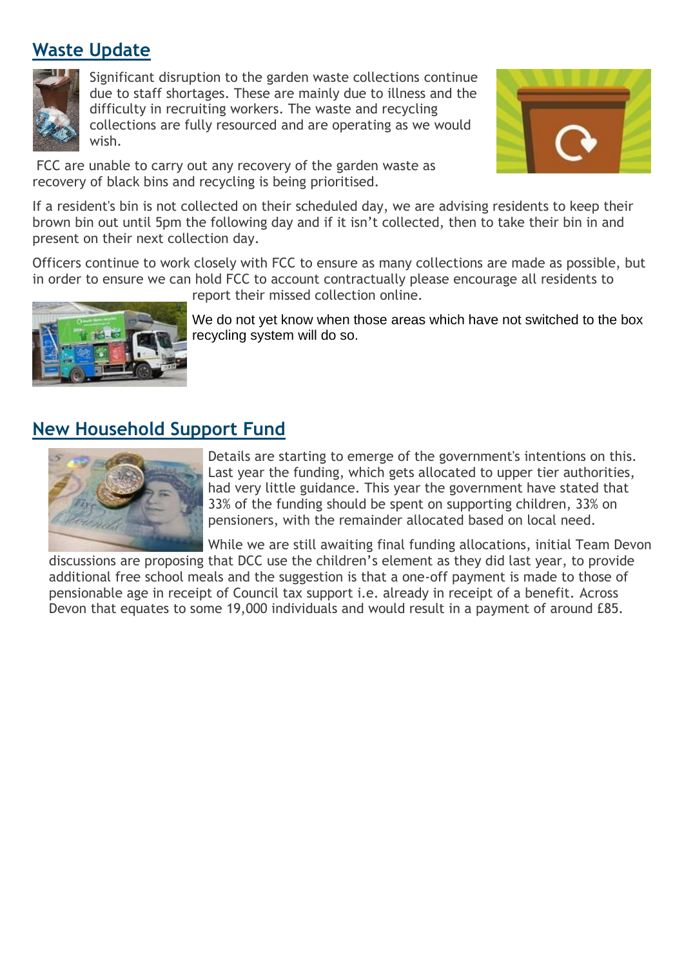### **Waste Update**



Significant disruption to the garden waste collections continue due to staff shortages. These are mainly due to illness and the difficulty in recruiting workers. The waste and recycling collections are fully resourced and are operating as we would wish.

FCC are unable to carry out any recovery of the garden waste as recovery of black bins and recycling is being prioritised.



If a resident's bin is not collected on their scheduled day, we are advising residents to keep their brown bin out until 5pm the following day and if it isn't collected, then to take their bin in and present on their next collection day.

Officers continue to work closely with FCC to ensure as many collections are made as possible, but in order to ensure we can hold FCC to account contractually please encourage all residents to report their missed collection online.



We do not yet know when those areas which have not switched to the box recycling system will do so.

### **New Household Support Fund**



Details are starting to emerge of the government's intentions on this. Last year the funding, which gets allocated to upper tier authorities, had very little guidance. This year the government have stated that 33% of the funding should be spent on supporting children, 33% on pensioners, with the remainder allocated based on local need.

While we are still awaiting final funding allocations, initial Team Devon discussions are proposing that DCC use the children's element as they did last year, to provide additional free school meals and the suggestion is that a one-off payment is made to those of pensionable age in receipt of Council tax support i.e. already in receipt of a benefit. Across Devon that equates to some 19,000 individuals and would result in a payment of around £85.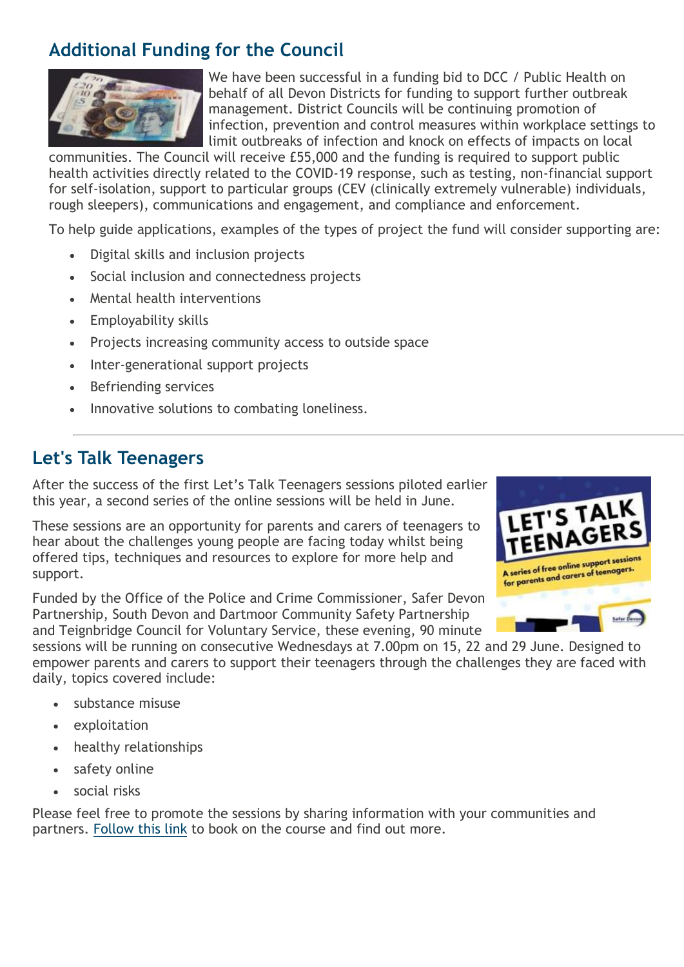### **Additional Funding for the Council**



We have been successful in a funding bid to DCC / Public Health on behalf of all Devon Districts for funding to support further outbreak management. District Councils will be continuing promotion of infection, prevention and control measures within workplace settings to limit outbreaks of infection and knock on effects of impacts on local

communities. The Council will receive £55,000 and the funding is required to support public health activities directly related to the COVID-19 response, such as testing, non-financial support for self-isolation, support to particular groups (CEV (clinically extremely vulnerable) individuals, rough sleepers), communications and engagement, and compliance and enforcement.

To help guide applications, examples of the types of project the fund will consider supporting are:

- Digital skills and inclusion projects
- Social inclusion and connectedness projects
- Mental health interventions
- Employability skills
- Projects increasing community access to outside space
- Inter-generational support projects
- Befriending services
- Innovative solutions to combating loneliness.

### **Let's Talk Teenagers**

After the success of the first Let's Talk Teenagers sessions piloted earlier this year, a second series of the online sessions will be held in June.

These sessions are an opportunity for parents and carers of teenagers to hear about the challenges young people are facing today whilst being offered tips, techniques and resources to explore for more help and support.

Funded by the Office of the Police and Crime Commissioner, Safer Devon Partnership, South Devon and Dartmoor Community Safety Partnership and Teignbridge Council for Voluntary Service, these evening, 90 minute



sessions will be running on consecutive Wednesdays at 7.00pm on 15, 22 and 29 June. Designed to empower parents and carers to support their teenagers through the challenges they are faced with daily, topics covered include:

- substance misuse
- exploitation
- healthy relationships
- safety online
- social risks

Please feel free to promote the sessions by sharing information with your communities and partners. [Follow this link](https://lnks.gd/l/eyJhbGciOiJIUzI1NiJ9.eyJidWxsZXRpbl9saW5rX2lkIjoxMDIsInVyaSI6ImJwMjpjbGljayIsImJ1bGxldGluX2lkIjoiMjAyMjA1MjAuNTgyMDQ0MjEiLCJ1cmwiOiJodHRwczovL3d3dy5ldmVudGJyaXRlLmNvLnVrL2UvbGV0cy10YWxrLXRlZW5hZ2Vycy1qdW5lLTIwMjItdGlja2V0cy0zMzcxMzMwMDI4ODcifQ.QMUMxkKdNg7n6yoQa43VtNABJ1LiEHsPNXXwUYiXGAI/s/1119924190/br/131635957989-l) to book on the course and find out more.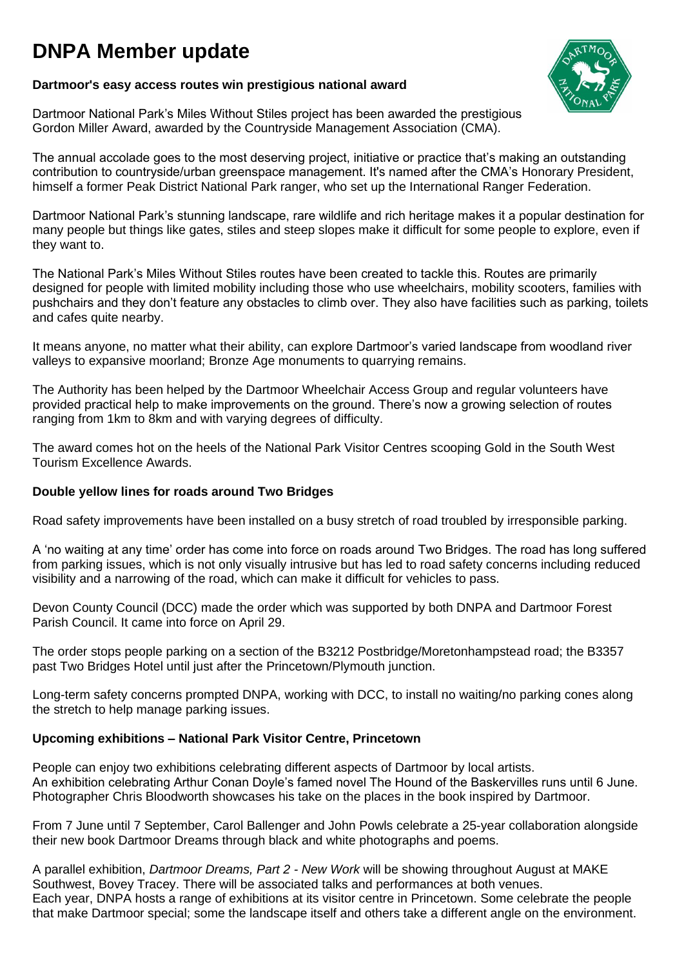# **DNPA Member update**

#### **Dartmoor's easy access routes win prestigious national award**

Dartmoor National Park's Miles Without Stiles project has been awarded the prestigious Gordon Miller Award, awarded by the Countryside Management Association (CMA).

The annual accolade goes to the most deserving project, initiative or practice that's making an outstanding contribution to countryside/urban greenspace management. It's named after the CMA's Honorary President, himself a former Peak District National Park ranger, who set up the International Ranger Federation.

Dartmoor National Park's stunning landscape, rare wildlife and rich heritage makes it a popular destination for many people but things like gates, stiles and steep slopes make it difficult for some people to explore, even if they want to.

The National Park's Miles Without Stiles routes have been created to tackle this. Routes are primarily designed for people with limited mobility including those who use wheelchairs, mobility scooters, families with pushchairs and they don't feature any obstacles to climb over. They also have facilities such as parking, toilets and cafes quite nearby.

It means anyone, no matter what their ability, can explore Dartmoor's varied landscape from woodland river valleys to expansive moorland; Bronze Age monuments to quarrying remains.

The Authority has been helped by the Dartmoor Wheelchair Access Group and regular volunteers have provided practical help to make improvements on the ground. There's now a growing selection of routes ranging from 1km to 8km and with varying degrees of difficulty.

The award comes hot on the heels of the National Park Visitor Centres scooping Gold in the South West Tourism Excellence Awards.

#### **Double yellow lines for roads around Two Bridges**

Road safety improvements have been installed on a busy stretch of road troubled by irresponsible parking.

A 'no waiting at any time' order has come into force on roads around Two Bridges. The road has long suffered from parking issues, which is not only visually intrusive but has led to road safety concerns including reduced visibility and a narrowing of the road, which can make it difficult for vehicles to pass.

Devon County Council (DCC) made the order which was supported by both DNPA and Dartmoor Forest Parish Council. It came into force on April 29.

The order stops people parking on a section of the B3212 Postbridge/Moretonhampstead road; the B3357 past Two Bridges Hotel until just after the Princetown/Plymouth junction.

Long-term safety concerns prompted DNPA, working with DCC, to install no waiting/no parking cones along the stretch to help manage parking issues.

#### **Upcoming exhibitions – National Park Visitor Centre, Princetown**

People can enjoy two exhibitions celebrating different aspects of Dartmoor by local artists. An exhibition celebrating Arthur Conan Doyle's famed novel The Hound of the Baskervilles runs until 6 June. Photographer Chris Bloodworth showcases his take on the places in the book inspired by Dartmoor.

From 7 June until 7 September, Carol Ballenger and John Powls celebrate a 25-year collaboration alongside their new book Dartmoor Dreams through black and white photographs and poems.

A parallel exhibition, *Dartmoor Dreams, Part 2 - New Work* will be showing throughout August at MAKE Southwest, Bovey Tracey. There will be associated talks and performances at both venues. Each year, DNPA hosts a range of exhibitions at its visitor centre in Princetown. Some celebrate the people that make Dartmoor special; some the landscape itself and others take a different angle on the environment.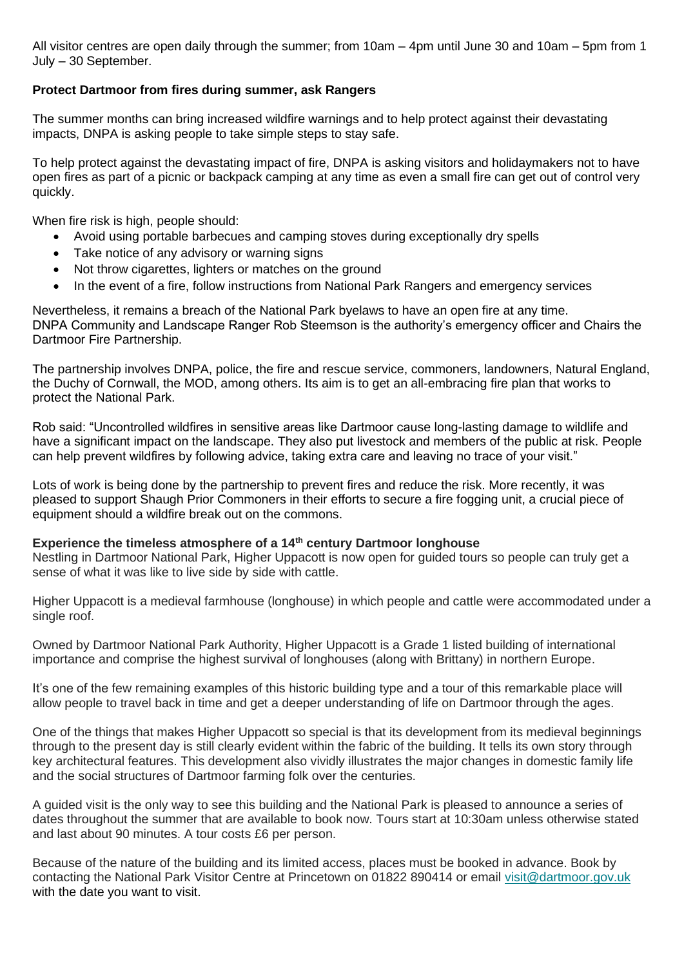All visitor centres are open daily through the summer; from 10am – 4pm until June 30 and 10am – 5pm from 1 July – 30 September.

#### **Protect Dartmoor from fires during summer, ask Rangers**

The summer months can bring increased wildfire warnings and to help protect against their devastating impacts, DNPA is asking people to take simple steps to stay safe.

To help protect against the devastating impact of fire, DNPA is asking visitors and holidaymakers not to have open fires as part of a picnic or backpack camping at any time as even a small fire can get out of control very quickly.

When fire risk is high, people should:

- Avoid using portable barbecues and camping stoves during exceptionally dry spells
- Take notice of any advisory or warning signs
- Not throw cigarettes, lighters or matches on the ground
- In the event of a fire, follow instructions from National Park Rangers and emergency services

Nevertheless, it remains a breach of the National Park byelaws to have an open fire at any time. DNPA Community and Landscape Ranger Rob Steemson is the authority's emergency officer and Chairs the Dartmoor Fire Partnership.

The partnership involves DNPA, police, the fire and rescue service, commoners, landowners, Natural England, the Duchy of Cornwall, the MOD, among others. Its aim is to get an all-embracing fire plan that works to protect the National Park.

Rob said: "Uncontrolled wildfires in sensitive areas like Dartmoor cause long-lasting damage to wildlife and have a significant impact on the landscape. They also put livestock and members of the public at risk. People can help prevent wildfires by following advice, taking extra care and leaving no trace of your visit."

Lots of work is being done by the partnership to prevent fires and reduce the risk. More recently, it was pleased to support Shaugh Prior Commoners in their efforts to secure a fire fogging unit, a crucial piece of equipment should a wildfire break out on the commons.

#### **Experience the timeless atmosphere of a 14th century Dartmoor longhouse**

Nestling in Dartmoor National Park, Higher Uppacott is now open for guided tours so people can truly get a sense of what it was like to live side by side with cattle.

Higher Uppacott is a medieval farmhouse (longhouse) in which people and cattle were accommodated under a single roof.

Owned by Dartmoor National Park Authority, Higher Uppacott is a Grade 1 listed building of international importance and comprise the highest survival of longhouses (along with Brittany) in northern Europe.

It's one of the few remaining examples of this historic building type and a tour of this remarkable place will allow people to travel back in time and get a deeper understanding of life on Dartmoor through the ages.

One of the things that makes Higher Uppacott so special is that its development from its medieval beginnings through to the present day is still clearly evident within the fabric of the building. It tells its own story through key architectural features. This development also vividly illustrates the major changes in domestic family life and the social structures of Dartmoor farming folk over the centuries.

A guided visit is the only way to see this building and the National Park is pleased to announce a series of dates throughout the summer that are available to book now. Tours start at 10:30am unless otherwise stated and last about 90 minutes. A tour costs £6 per person.

Because of the nature of the building and its limited access, places must be booked in advance. Book by contacting the National Park Visitor Centre at Princetown on 01822 890414 or email [visit@dartmoor.gov.uk](mailto:visit@dartmoor.gov.uk) with the date you want to visit.